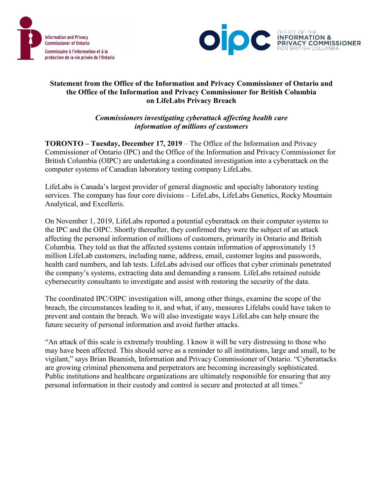



## **Statement from the Office of the Information and Privacy Commissioner of Ontario and the Office of the Information and Privacy Commissioner for British Columbia on LifeLabs Privacy Breach**

*Commissioners investigating cyberattack affecting health care information of millions of customers*

**TORONTO – Tuesday, December 17, 2019** – The Office of the Information and Privacy Commissioner of Ontario (IPC) and the Office of the Information and Privacy Commissioner for British Columbia (OIPC) are undertaking a coordinated investigation into a cyberattack on the computer systems of Canadian laboratory testing company LifeLabs.

LifeLabs is Canada's largest provider of general diagnostic and specialty laboratory testing services. The company has four core divisions – LifeLabs, LifeLabs Genetics, Rocky Mountain Analytical, and Excelleris.

On November 1, 2019, LifeLabs reported a potential cyberattack on their computer systems to the IPC and the OIPC. Shortly thereafter, they confirmed they were the subject of an attack affecting the personal information of millions of customers, primarily in Ontario and British Columbia. They told us that the affected systems contain information of approximately 15 million LifeLab customers, including name, address, email, customer logins and passwords, health card numbers, and lab tests. LifeLabs advised our offices that cyber criminals penetrated the company's systems, extracting data and demanding a ransom. LifeLabs retained outside cybersecurity consultants to investigate and assist with restoring the security of the data.

The coordinated IPC/OIPC investigation will, among other things, examine the scope of the breach, the circumstances leading to it, and what, if any, measures Lifelabs could have taken to prevent and contain the breach. We will also investigate ways LifeLabs can help ensure the future security of personal information and avoid further attacks.

"An attack of this scale is extremely troubling. I know it will be very distressing to those who may have been affected. This should serve as a reminder to all institutions, large and small, to be vigilant," says Brian Beamish, Information and Privacy Commissioner of Ontario. "Cyberattacks are growing criminal phenomena and perpetrators are becoming increasingly sophisticated. Public institutions and healthcare organizations are ultimately responsible for ensuring that any personal information in their custody and control is secure and protected at all times."